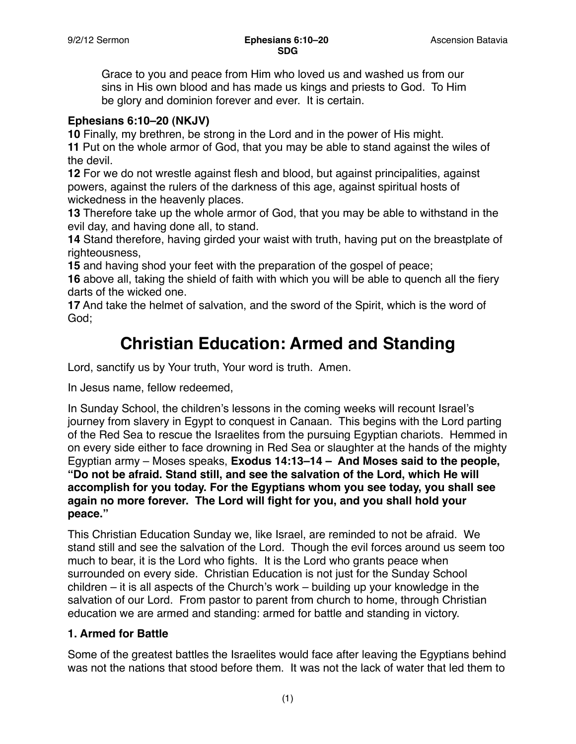Grace to you and peace from Him who loved us and washed us from our sins in His own blood and has made us kings and priests to God. To Him be glory and dominion forever and ever. It is certain.

## **Ephesians 6:10–20 (NKJV)**

**10** Finally, my brethren, be strong in the Lord and in the power of His might.

**11** Put on the whole armor of God, that you may be able to stand against the wiles of the devil.

**12** For we do not wrestle against flesh and blood, but against principalities, against powers, against the rulers of the darkness of this age, against spiritual hosts of wickedness in the heavenly places.

**13** Therefore take up the whole armor of God, that you may be able to withstand in the evil day, and having done all, to stand.

**14** Stand therefore, having girded your waist with truth, having put on the breastplate of righteousness.

**15** and having shod your feet with the preparation of the gospel of peace;

**16** above all, taking the shield of faith with which you will be able to quench all the fiery darts of the wicked one.

**17** And take the helmet of salvation, and the sword of the Spirit, which is the word of God;

# **Christian Education: Armed and Standing**

Lord, sanctify us by Your truth, Your word is truth. Amen.

In Jesus name, fellow redeemed,

In Sunday School, the children's lessons in the coming weeks will recount Israel's journey from slavery in Egypt to conquest in Canaan. This begins with the Lord parting of the Red Sea to rescue the Israelites from the pursuing Egyptian chariots. Hemmed in on every side either to face drowning in Red Sea or slaughter at the hands of the mighty Egyptian army – Moses speaks, **Exodus 14:13–14 – And Moses said to the people, "Do not be afraid. Stand still, and see the salvation of the Lord, which He will accomplish for you today. For the Egyptians whom you see today, you shall see again no more forever. The Lord will fight for you, and you shall hold your peace."** 

This Christian Education Sunday we, like Israel, are reminded to not be afraid. We stand still and see the salvation of the Lord. Though the evil forces around us seem too much to bear, it is the Lord who fights. It is the Lord who grants peace when surrounded on every side. Christian Education is not just for the Sunday School children – it is all aspects of the Church's work – building up your knowledge in the salvation of our Lord. From pastor to parent from church to home, through Christian education we are armed and standing: armed for battle and standing in victory.

## **1. Armed for Battle**

Some of the greatest battles the Israelites would face after leaving the Egyptians behind was not the nations that stood before them. It was not the lack of water that led them to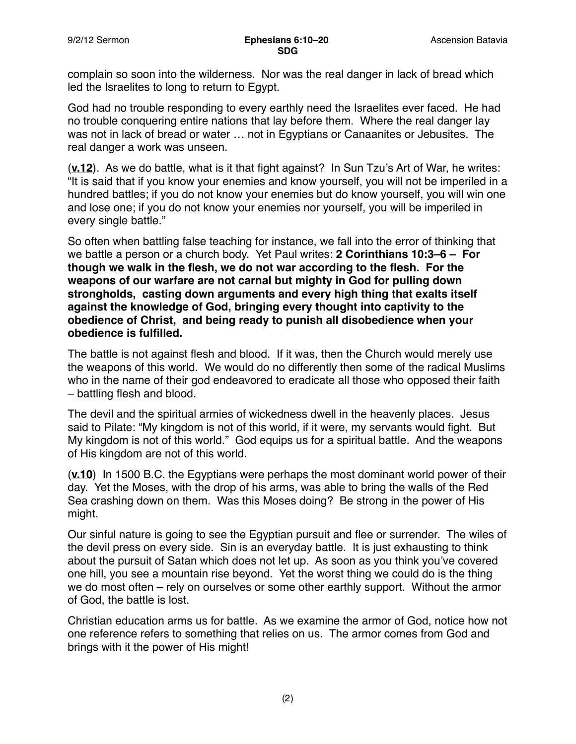complain so soon into the wilderness. Nor was the real danger in lack of bread which led the Israelites to long to return to Egypt.

God had no trouble responding to every earthly need the Israelites ever faced. He had no trouble conquering entire nations that lay before them. Where the real danger lay was not in lack of bread or water … not in Egyptians or Canaanites or Jebusites. The real danger a work was unseen.

(**v.12**). As we do battle, what is it that fight against? In Sun Tzu's Art of War, he writes: "It is said that if you know your enemies and know yourself, you will not be imperiled in a hundred battles; if you do not know your enemies but do know yourself, you will win one and lose one; if you do not know your enemies nor yourself, you will be imperiled in every single battle."

So often when battling false teaching for instance, we fall into the error of thinking that we battle a person or a church body. Yet Paul writes: **2 Corinthians 10:3–6 – For though we walk in the flesh, we do not war according to the flesh. For the weapons of our warfare are not carnal but mighty in God for pulling down strongholds, casting down arguments and every high thing that exalts itself against the knowledge of God, bringing every thought into captivity to the obedience of Christ, and being ready to punish all disobedience when your obedience is fulfilled.** 

The battle is not against flesh and blood. If it was, then the Church would merely use the weapons of this world. We would do no differently then some of the radical Muslims who in the name of their god endeavored to eradicate all those who opposed their faith – battling flesh and blood.

The devil and the spiritual armies of wickedness dwell in the heavenly places. Jesus said to Pilate: "My kingdom is not of this world, if it were, my servants would fight. But My kingdom is not of this world." God equips us for a spiritual battle. And the weapons of His kingdom are not of this world.

(**v.10**) In 1500 B.C. the Egyptians were perhaps the most dominant world power of their day. Yet the Moses, with the drop of his arms, was able to bring the walls of the Red Sea crashing down on them. Was this Moses doing? Be strong in the power of His might.

Our sinful nature is going to see the Egyptian pursuit and flee or surrender. The wiles of the devil press on every side. Sin is an everyday battle. It is just exhausting to think about the pursuit of Satan which does not let up. As soon as you think you've covered one hill, you see a mountain rise beyond. Yet the worst thing we could do is the thing we do most often – rely on ourselves or some other earthly support. Without the armor of God, the battle is lost.

Christian education arms us for battle. As we examine the armor of God, notice how not one reference refers to something that relies on us. The armor comes from God and brings with it the power of His might!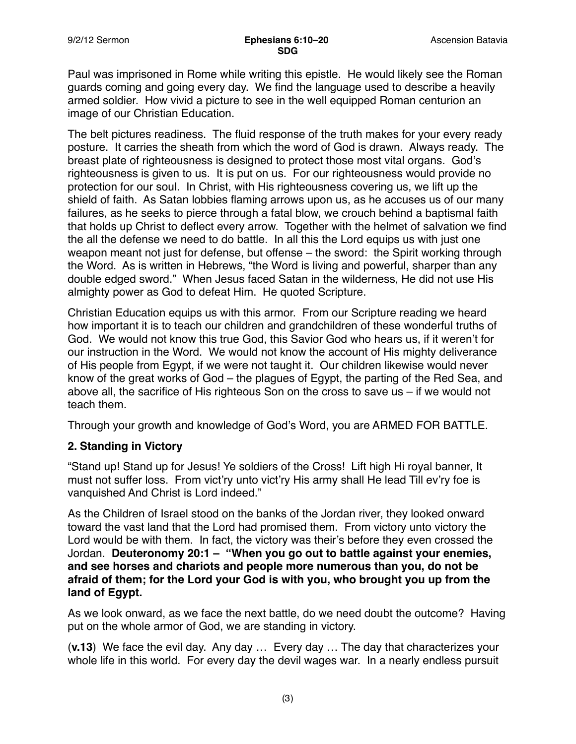Paul was imprisoned in Rome while writing this epistle. He would likely see the Roman guards coming and going every day. We find the language used to describe a heavily armed soldier. How vivid a picture to see in the well equipped Roman centurion an image of our Christian Education.

The belt pictures readiness. The fluid response of the truth makes for your every ready posture. It carries the sheath from which the word of God is drawn. Always ready. The breast plate of righteousness is designed to protect those most vital organs. God's righteousness is given to us. It is put on us. For our righteousness would provide no protection for our soul. In Christ, with His righteousness covering us, we lift up the shield of faith. As Satan lobbies flaming arrows upon us, as he accuses us of our many failures, as he seeks to pierce through a fatal blow, we crouch behind a baptismal faith that holds up Christ to deflect every arrow. Together with the helmet of salvation we find the all the defense we need to do battle. In all this the Lord equips us with just one weapon meant not just for defense, but offense – the sword: the Spirit working through the Word. As is written in Hebrews, "the Word is living and powerful, sharper than any double edged sword." When Jesus faced Satan in the wilderness, He did not use His almighty power as God to defeat Him. He quoted Scripture.

Christian Education equips us with this armor. From our Scripture reading we heard how important it is to teach our children and grandchildren of these wonderful truths of God. We would not know this true God, this Savior God who hears us, if it weren't for our instruction in the Word. We would not know the account of His mighty deliverance of His people from Egypt, if we were not taught it. Our children likewise would never know of the great works of God – the plagues of Egypt, the parting of the Red Sea, and above all, the sacrifice of His righteous Son on the cross to save us – if we would not teach them.

Through your growth and knowledge of God's Word, you are ARMED FOR BATTLE.

### **2. Standing in Victory**

"Stand up! Stand up for Jesus! Ye soldiers of the Cross! Lift high Hi royal banner, It must not suffer loss. From vict'ry unto vict'ry His army shall He lead Till ev'ry foe is vanquished And Christ is Lord indeed."

As the Children of Israel stood on the banks of the Jordan river, they looked onward toward the vast land that the Lord had promised them. From victory unto victory the Lord would be with them. In fact, the victory was their's before they even crossed the Jordan. **Deuteronomy 20:1 – "When you go out to battle against your enemies, and see horses and chariots and people more numerous than you, do not be afraid of them; for the Lord your God is with you, who brought you up from the land of Egypt.**

As we look onward, as we face the next battle, do we need doubt the outcome? Having put on the whole armor of God, we are standing in victory.

(**v.13**) We face the evil day. Any day … Every day … The day that characterizes your whole life in this world. For every day the devil wages war. In a nearly endless pursuit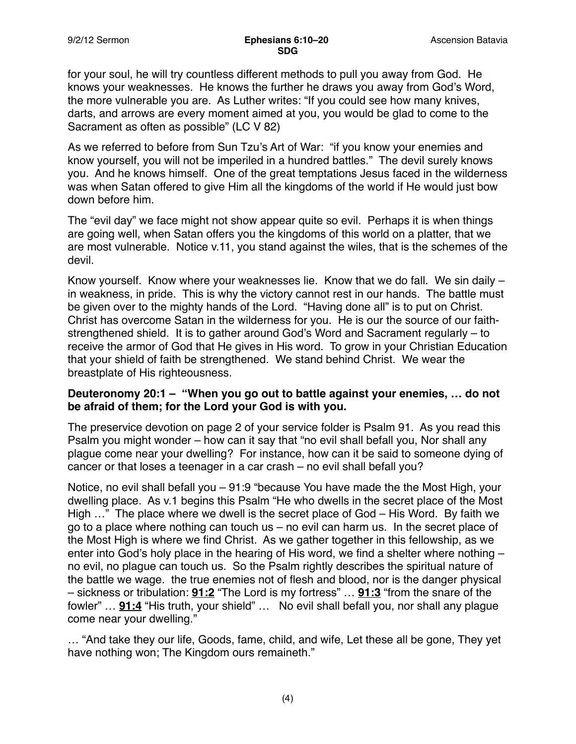for your soul, he will try countless different methods to pull you away from God. He knows your weaknesses. He knows the further he draws you away from God's Word, the more vulnerable you are. As Luther writes: "If you could see how many knives, darts, and arrows are every moment aimed at you, you would be glad to come to the Sacrament as often as possible" (LC V 82)

As we referred to before from Sun Tzu's Art of War: "if you know your enemies and know yourself, you will not be imperiled in a hundred battles." The devil surely knows you. And he knows himself. One of the great temptations Jesus faced in the wilderness was when Satan offered to give Him all the kingdoms of the world if He would just bow down before him.

The "evil day" we face might not show appear quite so evil. Perhaps it is when things are going well, when Satan offers you the kingdoms of this world on a platter, that we are most vulnerable. Notice v.11, you stand against the wiles, that is the schemes of the devil.

Know yourself. Know where your weaknesses lie. Know that we do fall. We sin daily – in weakness, in pride. This is why the victory cannot rest in our hands. The battle must be given over to the mighty hands of the Lord. "Having done all" is to put on Christ. Christ has overcome Satan in the wilderness for you. He is our the source of our faithstrengthened shield. It is to gather around God's Word and Sacrament regularly – to receive the armor of God that He gives in His word. To grow in your Christian Education that your shield of faith be strengthened. We stand behind Christ. We wear the breastplate of His righteousness.

### **Deuteronomy 20:1 – "When you go out to battle against your enemies, … do not be afraid of them; for the Lord your God is with you.**

The preservice devotion on page 2 of your service folder is Psalm 91. As you read this Psalm you might wonder – how can it say that "no evil shall befall you, Nor shall any plague come near your dwelling? For instance, how can it be said to someone dying of cancer or that loses a teenager in a car crash – no evil shall befall you?

Notice, no evil shall befall you – 91:9 "because You have made the the Most High, your dwelling place. As v.1 begins this Psalm "He who dwells in the secret place of the Most High …" The place where we dwell is the secret place of God – His Word. By faith we go to a place where nothing can touch us – no evil can harm us. In the secret place of the Most High is where we find Christ. As we gather together in this fellowship, as we enter into God's holy place in the hearing of His word, we find a shelter where nothing – no evil, no plague can touch us. So the Psalm rightly describes the spiritual nature of the battle we wage. the true enemies not of flesh and blood, nor is the danger physical – sickness or tribulation: **91:2** "The Lord is my fortress" … **91:3** "from the snare of the fowler" … **91:4** "His truth, your shield" … No evil shall befall you, nor shall any plague come near your dwelling."

… "And take they our life, Goods, fame, child, and wife, Let these all be gone, They yet have nothing won; The Kingdom ours remaineth."